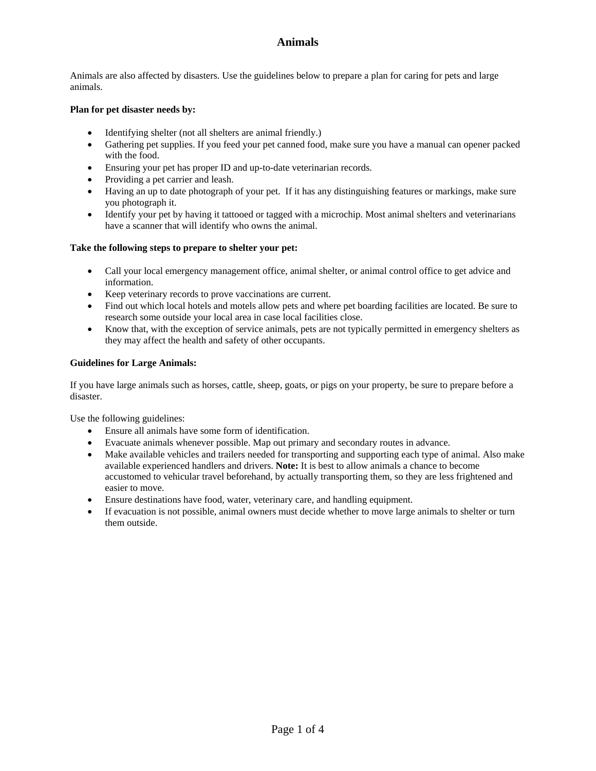Animals are also affected by disasters. Use the guidelines below to prepare a plan for caring for pets and large animals.

### **Plan for pet disaster needs by:**

- Identifying shelter (not all shelters are animal friendly.)
- Gathering pet supplies. If you feed your pet canned food, make sure you have a manual can opener packed with the food.
- Ensuring your pet has proper ID and up-to-date veterinarian records.
- Providing a pet carrier and leash.
- Having an up to date photograph of your pet. If it has any distinguishing features or markings, make sure you photograph it.
- Identify your pet by having it tattooed or tagged with a microchip. Most animal shelters and veterinarians have a scanner that will identify who owns the animal.

#### **Take the following steps to prepare to shelter your pet:**

- Call your local emergency management office, animal shelter, or animal control office to get advice and information.
- Keep veterinary records to prove vaccinations are current.
- Find out which local hotels and motels allow pets and where pet boarding facilities are located. Be sure to research some outside your local area in case local facilities close.
- Know that, with the exception of service animals, pets are not typically permitted in emergency shelters as they may affect the health and safety of other occupants.

#### **Guidelines for Large Animals:**

If you have large animals such as horses, cattle, sheep, goats, or pigs on your property, be sure to prepare before a disaster.

Use the following guidelines:

- Ensure all animals have some form of identification.
- Evacuate animals whenever possible. Map out primary and secondary routes in advance.
- Make available vehicles and trailers needed for transporting and supporting each type of animal. Also make available experienced handlers and drivers. **Note:** It is best to allow animals a chance to become accustomed to vehicular travel beforehand, by actually transporting them, so they are less frightened and easier to move.
- Ensure destinations have food, water, veterinary care, and handling equipment.
- If evacuation is not possible, animal owners must decide whether to move large animals to shelter or turn them outside.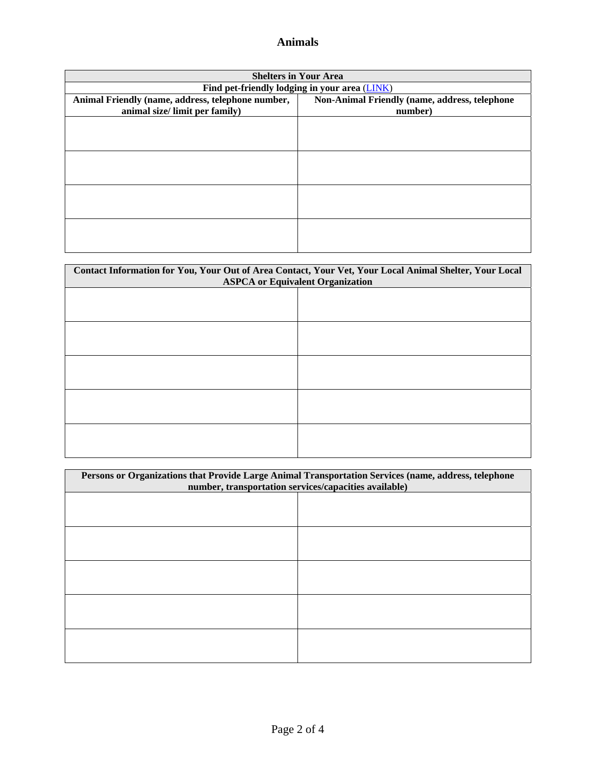| <b>Shelters in Your Area</b>                      |                                               |  |  |  |
|---------------------------------------------------|-----------------------------------------------|--|--|--|
| Find pet-friendly lodging in your area (LINK)     |                                               |  |  |  |
| Animal Friendly (name, address, telephone number, | Non-Animal Friendly (name, address, telephone |  |  |  |
| animal size/ limit per family)                    | number)                                       |  |  |  |
|                                                   |                                               |  |  |  |
|                                                   |                                               |  |  |  |
|                                                   |                                               |  |  |  |
|                                                   |                                               |  |  |  |
|                                                   |                                               |  |  |  |
|                                                   |                                               |  |  |  |
|                                                   |                                               |  |  |  |
|                                                   |                                               |  |  |  |
|                                                   |                                               |  |  |  |
|                                                   |                                               |  |  |  |
|                                                   |                                               |  |  |  |
|                                                   |                                               |  |  |  |

| Contact Information for You, Your Out of Area Contact, Your Vet, Your Local Animal Shelter, Your Local<br><b>ASPCA</b> or Equivalent Organization |  |  |  |
|---------------------------------------------------------------------------------------------------------------------------------------------------|--|--|--|
|                                                                                                                                                   |  |  |  |
|                                                                                                                                                   |  |  |  |
|                                                                                                                                                   |  |  |  |
|                                                                                                                                                   |  |  |  |
|                                                                                                                                                   |  |  |  |
|                                                                                                                                                   |  |  |  |
|                                                                                                                                                   |  |  |  |
|                                                                                                                                                   |  |  |  |
|                                                                                                                                                   |  |  |  |
|                                                                                                                                                   |  |  |  |
|                                                                                                                                                   |  |  |  |
|                                                                                                                                                   |  |  |  |
|                                                                                                                                                   |  |  |  |
|                                                                                                                                                   |  |  |  |

| Persons or Organizations that Provide Large Animal Transportation Services (name, address, telephone<br>number, transportation services/capacities available) |  |  |  |
|---------------------------------------------------------------------------------------------------------------------------------------------------------------|--|--|--|
|                                                                                                                                                               |  |  |  |
|                                                                                                                                                               |  |  |  |
|                                                                                                                                                               |  |  |  |
|                                                                                                                                                               |  |  |  |
|                                                                                                                                                               |  |  |  |
|                                                                                                                                                               |  |  |  |
|                                                                                                                                                               |  |  |  |
|                                                                                                                                                               |  |  |  |
|                                                                                                                                                               |  |  |  |
|                                                                                                                                                               |  |  |  |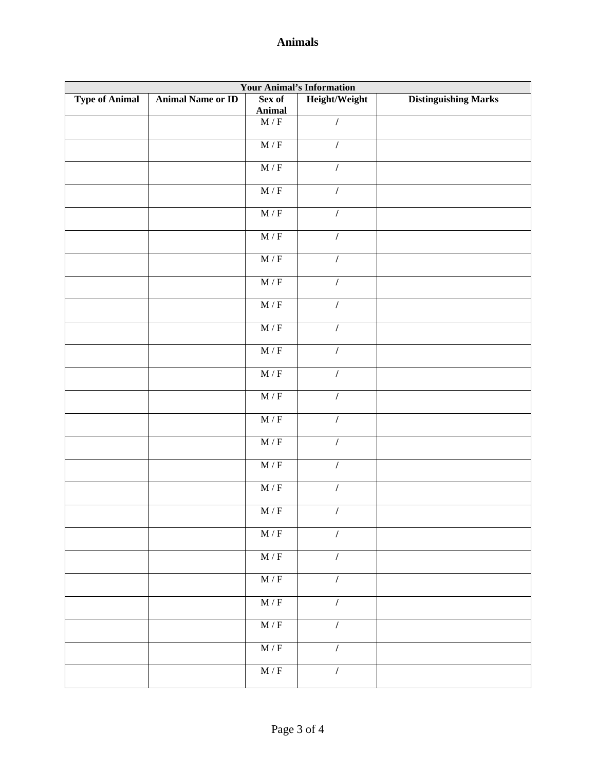| <b>Your Animal's Information</b> |                          |                             |                |                             |  |  |
|----------------------------------|--------------------------|-----------------------------|----------------|-----------------------------|--|--|
| <b>Type of Animal</b>            | <b>Animal Name or ID</b> | Sex of<br><b>Animal</b>     | Height/Weight  | <b>Distinguishing Marks</b> |  |  |
|                                  |                          | $M/F$                       | $\cal I$       |                             |  |  |
|                                  |                          | $\overline{M/F}$            | $\cal I$       |                             |  |  |
|                                  |                          | $\overline{M/F}$            | $\cal I$       |                             |  |  |
|                                  |                          | $\mathbf{M}$ / $\mathbf{F}$ | $\overline{I}$ |                             |  |  |
|                                  |                          | $\overline{M/F}$            | $\prime$       |                             |  |  |
|                                  |                          | M/F                         | $\prime$       |                             |  |  |
|                                  |                          | $M/F$                       | $\overline{I}$ |                             |  |  |
|                                  |                          | $\overline{M/F}$            | $\overline{I}$ |                             |  |  |
|                                  |                          | $\mathbf{M}$ / $\mathbf{F}$ | $\prime$       |                             |  |  |
|                                  |                          | $M/F$                       | $\prime$       |                             |  |  |
|                                  |                          | $\mathbf{M}$ / $\mathbf{F}$ | $\prime$       |                             |  |  |
|                                  |                          | $\overline{M/F}$            | $\prime$       |                             |  |  |
|                                  |                          | $\overline{M/F}$            | $\overline{I}$ |                             |  |  |
|                                  |                          | $\overline{M/F}$            | $\overline{I}$ |                             |  |  |
|                                  |                          | $\overline{M/F}$            | $\overline{I}$ |                             |  |  |
|                                  |                          | $\overline{M/F}$            | $\overline{I}$ |                             |  |  |
|                                  |                          | $\overline{M/F}$            | $\overline{I}$ |                             |  |  |
|                                  |                          | $\overline{M/F}$            | $\prime$       |                             |  |  |
|                                  |                          | $\mathbf{M}$ / $\mathbf{F}$ | $\overline{1}$ |                             |  |  |
|                                  |                          | $\mathbf{M}$ / $\mathbf{F}$ | $\overline{1}$ |                             |  |  |
|                                  |                          |                             |                |                             |  |  |
|                                  |                          | $\mathbf{M}$ / $\mathbf{F}$ | $\overline{I}$ |                             |  |  |
|                                  |                          | $\mathbf{M}$ / $\mathbf{F}$ | $\sqrt{ }$     |                             |  |  |
|                                  |                          | $\mathbf{M}$ / $\mathbf{F}$ | $\sqrt{ }$     |                             |  |  |
|                                  |                          | $\overline{M/F}$            | $\prime$       |                             |  |  |
|                                  |                          | M/F                         | $\sqrt{2}$     |                             |  |  |